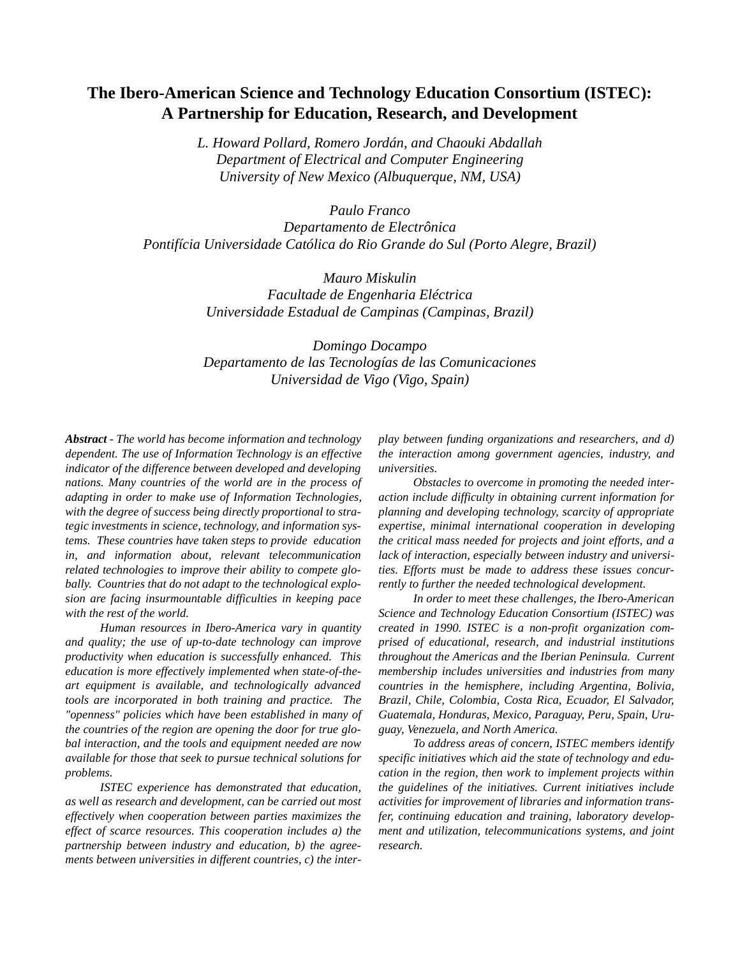# **The Ibero-American Science and Technology Education Consortium (ISTEC): A Partnership for Education, Research, and Development**

*L. Howard Pollard, Romero Jordán, and Chaouki Abdallah Department of Electrical and Computer Engineering University of New Mexico (Albuquerque, NM, USA)*

*Paulo Franco Departamento de Electrônica Pontifícia Universidade Católica do Rio Grande do Sul (Porto Alegre, Brazil)*

> *Mauro Miskulin Facultade de Engenharia Eléctrica Universidade Estadual de Campinas (Campinas, Brazil)*

> *Domingo Docampo Departamento de las Tecnologías de las Comunicaciones Universidad de Vigo (Vigo, Spain)*

*Abstract - The world has become information and technology dependent. The use of Information Technology is an effective indicator of the difference between developed and developing nations. Many countries of the world are in the process of adapting in order to make use of Information Technologies, with the degree of success being directly proportional to strategic investments in science, technology, and information systems. These countries have taken steps to provide education in, and information about, relevant telecommunication related technologies to improve their ability to compete globally. Countries that do not adapt to the technological explosion are facing insurmountable difficulties in keeping pace with the rest of the world.*

*Human resources in Ibero-America vary in quantity and quality; the use of up-to-date technology can improve productivity when education is successfully enhanced. This education is more effectively implemented when state-of-theart equipment is available, and technologically advanced tools are incorporated in both training and practice. The "openness" policies which have been established in many of the countries of the region are opening the door for true global interaction, and the tools and equipment needed are now available for those that seek to pursue technical solutions for problems.*

*ISTEC experience has demonstrated that education, as well as research and development, can be carried out most effectively when cooperation between parties maximizes the effect of scarce resources. This cooperation includes a) the partnership between industry and education, b) the agreements between universities in different countries, c) the inter-* *play between funding organizations and researchers, and d) the interaction among government agencies, industry, and universities.* 

*Obstacles to overcome in promoting the needed interaction include difficulty in obtaining current information for planning and developing technology, scarcity of appropriate expertise, minimal international cooperation in developing the critical mass needed for projects and joint efforts, and a lack of interaction, especially between industry and universities. Efforts must be made to address these issues concurrently to further the needed technological development.*

*In order to meet these challenges, the Ibero-American Science and Technology Education Consortium (ISTEC) was created in 1990. ISTEC is a non-profit organization comprised of educational, research, and industrial institutions throughout the Americas and the Iberian Peninsula. Current membership includes universities and industries from many countries in the hemisphere, including Argentina, Bolivia, Brazil, Chile, Colombia, Costa Rica, Ecuador, El Salvador, Guatemala, Honduras, Mexico, Paraguay, Peru, Spain, Uruguay, Venezuela, and North America.*

*To address areas of concern, ISTEC members identify specific initiatives which aid the state of technology and education in the region, then work to implement projects within the guidelines of the initiatives. Current initiatives include activities for improvement of libraries and information transfer, continuing education and training, laboratory development and utilization, telecommunications systems, and joint research.*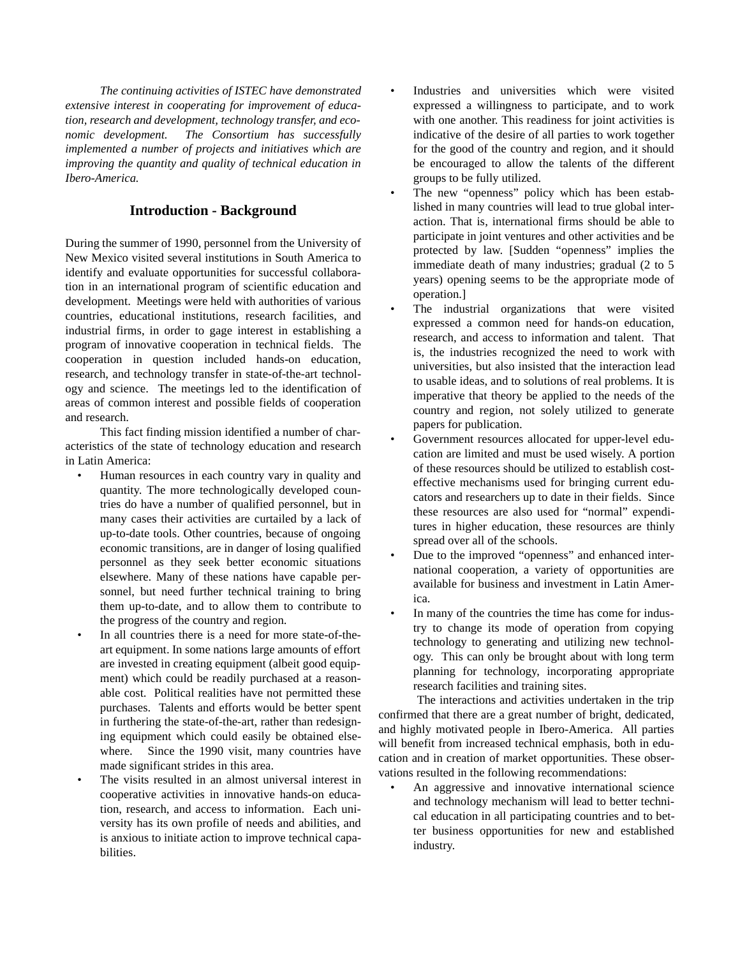*The continuing activities of ISTEC have demonstrated extensive interest in cooperating for improvement of education, research and development, technology transfer, and economic development. The Consortium has successfully implemented a number of projects and initiatives which are improving the quantity and quality of technical education in Ibero-America.* 

### **Introduction - Background**

During the summer of 1990, personnel from the University of New Mexico visited several institutions in South America to identify and evaluate opportunities for successful collaboration in an international program of scientific education and development. Meetings were held with authorities of various countries, educational institutions, research facilities, and industrial firms, in order to gage interest in establishing a program of innovative cooperation in technical fields. The cooperation in question included hands-on education, research, and technology transfer in state-of-the-art technology and science. The meetings led to the identification of areas of common interest and possible fields of cooperation and research.

This fact finding mission identified a number of characteristics of the state of technology education and research in Latin America:

- Human resources in each country vary in quality and quantity. The more technologically developed countries do have a number of qualified personnel, but in many cases their activities are curtailed by a lack of up-to-date tools. Other countries, because of ongoing economic transitions, are in danger of losing qualified personnel as they seek better economic situations elsewhere. Many of these nations have capable personnel, but need further technical training to bring them up-to-date, and to allow them to contribute to the progress of the country and region.
- In all countries there is a need for more state-of-theart equipment. In some nations large amounts of effort are invested in creating equipment (albeit good equipment) which could be readily purchased at a reasonable cost. Political realities have not permitted these purchases. Talents and efforts would be better spent in furthering the state-of-the-art, rather than redesigning equipment which could easily be obtained elsewhere. Since the 1990 visit, many countries have made significant strides in this area.
- The visits resulted in an almost universal interest in cooperative activities in innovative hands-on education, research, and access to information. Each university has its own profile of needs and abilities, and is anxious to initiate action to improve technical capabilities.
- Industries and universities which were visited expressed a willingness to participate, and to work with one another. This readiness for joint activities is indicative of the desire of all parties to work together for the good of the country and region, and it should be encouraged to allow the talents of the different groups to be fully utilized.
- The new "openness" policy which has been established in many countries will lead to true global interaction. That is, international firms should be able to participate in joint ventures and other activities and be protected by law. [Sudden "openness" implies the immediate death of many industries; gradual (2 to 5 years) opening seems to be the appropriate mode of operation.]
- The industrial organizations that were visited expressed a common need for hands-on education, research, and access to information and talent. That is, the industries recognized the need to work with universities, but also insisted that the interaction lead to usable ideas, and to solutions of real problems. It is imperative that theory be applied to the needs of the country and region, not solely utilized to generate papers for publication.
- Government resources allocated for upper-level education are limited and must be used wisely. A portion of these resources should be utilized to establish costeffective mechanisms used for bringing current educators and researchers up to date in their fields. Since these resources are also used for "normal" expenditures in higher education, these resources are thinly spread over all of the schools.
- Due to the improved "openness" and enhanced international cooperation, a variety of opportunities are available for business and investment in Latin America.
- In many of the countries the time has come for industry to change its mode of operation from copying technology to generating and utilizing new technology. This can only be brought about with long term planning for technology, incorporating appropriate research facilities and training sites.

 The interactions and activities undertaken in the trip confirmed that there are a great number of bright, dedicated, and highly motivated people in Ibero-America. All parties will benefit from increased technical emphasis, both in education and in creation of market opportunities. These observations resulted in the following recommendations:

An aggressive and innovative international science and technology mechanism will lead to better technical education in all participating countries and to better business opportunities for new and established industry.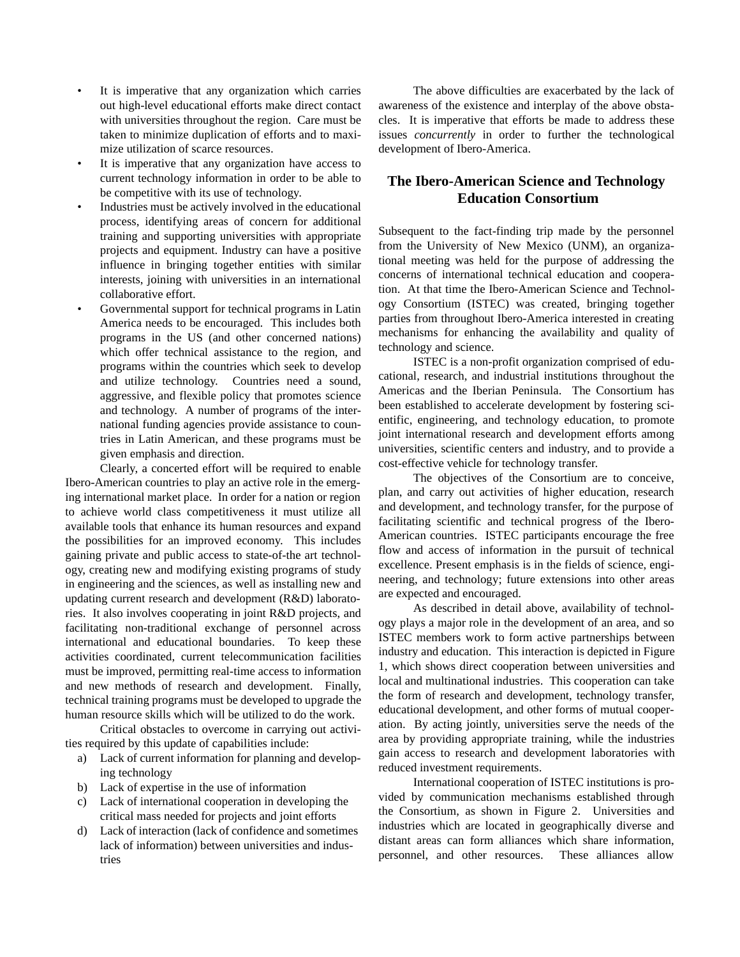- It is imperative that any organization which carries out high-level educational efforts make direct contact with universities throughout the region. Care must be taken to minimize duplication of efforts and to maximize utilization of scarce resources.
- It is imperative that any organization have access to current technology information in order to be able to be competitive with its use of technology.
- Industries must be actively involved in the educational process, identifying areas of concern for additional training and supporting universities with appropriate projects and equipment. Industry can have a positive influence in bringing together entities with similar interests, joining with universities in an international collaborative effort.
- Governmental support for technical programs in Latin America needs to be encouraged. This includes both programs in the US (and other concerned nations) which offer technical assistance to the region, and programs within the countries which seek to develop and utilize technology. Countries need a sound, aggressive, and flexible policy that promotes science and technology. A number of programs of the international funding agencies provide assistance to countries in Latin American, and these programs must be given emphasis and direction.

Clearly, a concerted effort will be required to enable Ibero-American countries to play an active role in the emerging international market place. In order for a nation or region to achieve world class competitiveness it must utilize all available tools that enhance its human resources and expand the possibilities for an improved economy. This includes gaining private and public access to state-of-the art technology, creating new and modifying existing programs of study in engineering and the sciences, as well as installing new and updating current research and development (R&D) laboratories. It also involves cooperating in joint R&D projects, and facilitating non-traditional exchange of personnel across international and educational boundaries. To keep these activities coordinated, current telecommunication facilities must be improved, permitting real-time access to information and new methods of research and development. Finally, technical training programs must be developed to upgrade the human resource skills which will be utilized to do the work.

Critical obstacles to overcome in carrying out activities required by this update of capabilities include:

- a) Lack of current information for planning and developing technology
- b) Lack of expertise in the use of information
- c) Lack of international cooperation in developing the critical mass needed for projects and joint efforts
- d) Lack of interaction (lack of confidence and sometimes lack of information) between universities and industries

The above difficulties are exacerbated by the lack of awareness of the existence and interplay of the above obstacles. It is imperative that efforts be made to address these issues *concurrently* in order to further the technological development of Ibero-America.

## **The Ibero-American Science and Technology Education Consortium**

Subsequent to the fact-finding trip made by the personnel from the University of New Mexico (UNM), an organizational meeting was held for the purpose of addressing the concerns of international technical education and cooperation. At that time the Ibero-American Science and Technology Consortium (ISTEC) was created, bringing together parties from throughout Ibero-America interested in creating mechanisms for enhancing the availability and quality of technology and science.

ISTEC is a non-profit organization comprised of educational, research, and industrial institutions throughout the Americas and the Iberian Peninsula. The Consortium has been established to accelerate development by fostering scientific, engineering, and technology education, to promote joint international research and development efforts among universities, scientific centers and industry, and to provide a cost-effective vehicle for technology transfer.

The objectives of the Consortium are to conceive, plan, and carry out activities of higher education, research and development, and technology transfer, for the purpose of facilitating scientific and technical progress of the Ibero-American countries. ISTEC participants encourage the free flow and access of information in the pursuit of technical excellence. Present emphasis is in the fields of science, engineering, and technology; future extensions into other areas are expected and encouraged.

As described in detail above, availability of technology plays a major role in the development of an area, and so ISTEC members work to form active partnerships between industry and education. This interaction is depicted in Figure 1, which shows direct cooperation between universities and local and multinational industries. This cooperation can take the form of research and development, technology transfer, educational development, and other forms of mutual cooperation. By acting jointly, universities serve the needs of the area by providing appropriate training, while the industries gain access to research and development laboratories with reduced investment requirements.

International cooperation of ISTEC institutions is provided by communication mechanisms established through the Consortium, as shown in Figure 2. Universities and industries which are located in geographically diverse and distant areas can form alliances which share information, personnel, and other resources. These alliances allow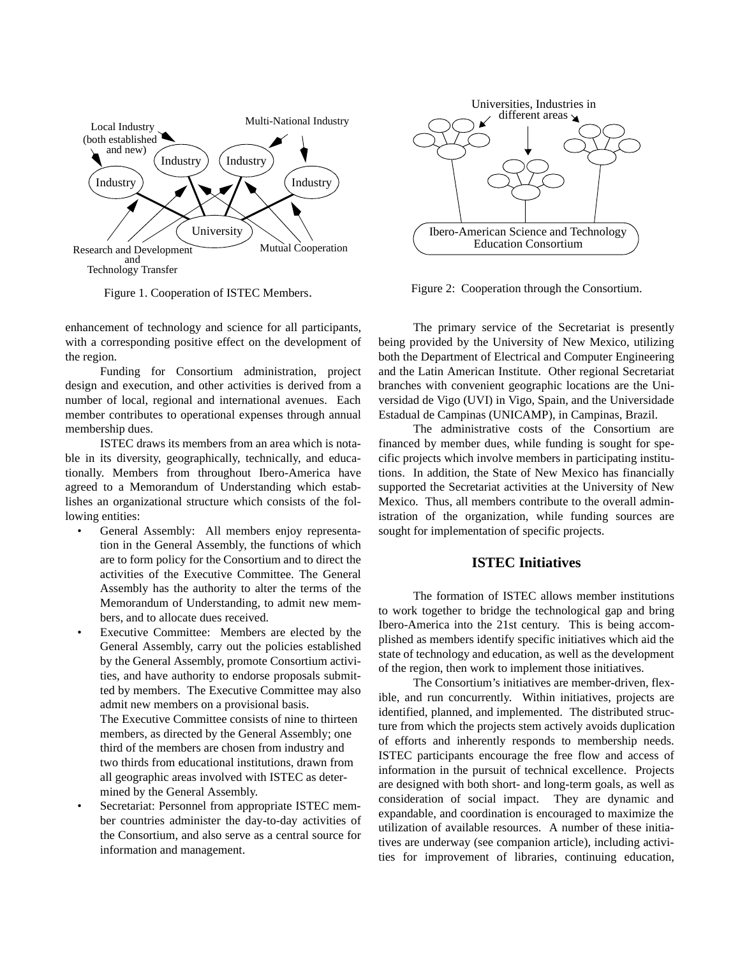

Figure 1. Cooperation of ISTEC Members.

enhancement of technology and science for all participants, with a corresponding positive effect on the development of the region.

Funding for Consortium administration, project design and execution, and other activities is derived from a number of local, regional and international avenues. Each member contributes to operational expenses through annual membership dues.

ISTEC draws its members from an area which is notable in its diversity, geographically, technically, and educationally. Members from throughout Ibero-America have agreed to a Memorandum of Understanding which establishes an organizational structure which consists of the following entities:

- General Assembly: All members enjoy representation in the General Assembly, the functions of which are to form policy for the Consortium and to direct the activities of the Executive Committee. The General Assembly has the authority to alter the terms of the Memorandum of Understanding, to admit new members, and to allocate dues received.
- Executive Committee: Members are elected by the General Assembly, carry out the policies established by the General Assembly, promote Consortium activities, and have authority to endorse proposals submitted by members. The Executive Committee may also admit new members on a provisional basis. The Executive Committee consists of nine to thirteen members, as directed by the General Assembly; one third of the members are chosen from industry and two thirds from educational institutions, drawn from all geographic areas involved with ISTEC as determined by the General Assembly.
- Secretariat: Personnel from appropriate ISTEC member countries administer the day-to-day activities of the Consortium, and also serve as a central source for information and management.



Figure 2: Cooperation through the Consortium.

The primary service of the Secretariat is presently being provided by the University of New Mexico, utilizing both the Department of Electrical and Computer Engineering and the Latin American Institute. Other regional Secretariat branches with convenient geographic locations are the Universidad de Vigo (UVI) in Vigo, Spain, and the Universidade Estadual de Campinas (UNICAMP), in Campinas, Brazil.

The administrative costs of the Consortium are financed by member dues, while funding is sought for specific projects which involve members in participating institutions. In addition, the State of New Mexico has financially supported the Secretariat activities at the University of New Mexico. Thus, all members contribute to the overall administration of the organization, while funding sources are sought for implementation of specific projects.

#### **ISTEC Initiatives**

The formation of ISTEC allows member institutions to work together to bridge the technological gap and bring Ibero-America into the 21st century. This is being accomplished as members identify specific initiatives which aid the state of technology and education, as well as the development of the region, then work to implement those initiatives.

The Consortium's initiatives are member-driven, flexible, and run concurrently. Within initiatives, projects are identified, planned, and implemented. The distributed structure from which the projects stem actively avoids duplication of efforts and inherently responds to membership needs. ISTEC participants encourage the free flow and access of information in the pursuit of technical excellence. Projects are designed with both short- and long-term goals, as well as consideration of social impact. They are dynamic and expandable, and coordination is encouraged to maximize the utilization of available resources. A number of these initiatives are underway (see companion article), including activities for improvement of libraries, continuing education,